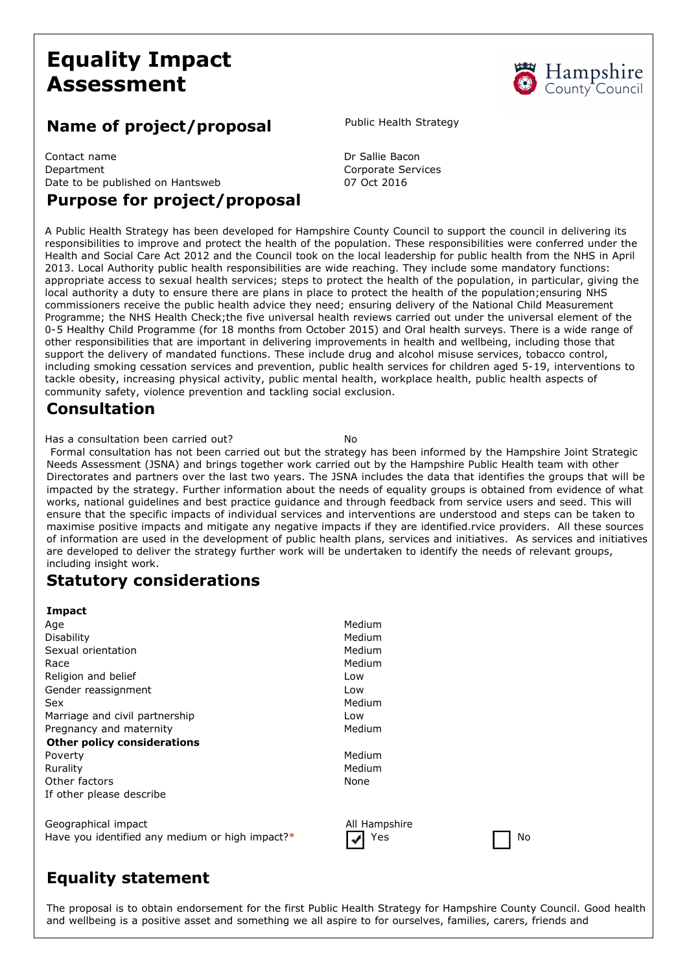# **Equality Impact Assessment**

# Hampshire<br>County Council

#### **Name of project/proposal** Public Health Strategy

Contact name **Dr Sallie Bacon** Department Corporate Services Date to be published on Hantsweb 07 Oct 2016

### **Purpose for project/proposal**

A Public Health Strategy has been developed for Hampshire County Council to support the council in delivering its responsibilities to improve and protect the health of the population. These responsibilities were conferred under the Health and Social Care Act 2012 and the Council took on the local leadership for public health from the NHS in April 2013. Local Authority public health responsibilities are wide reaching. They include some mandatory functions: appropriate access to sexual health services; steps to protect the health of the population, in particular, giving the local authority a duty to ensure there are plans in place to protect the health of the population;ensuring NHS commissioners receive the public health advice they need; ensuring delivery of the National Child Measurement Programme; the NHS Health Check;the five universal health reviews carried out under the universal element of the 0-5 Healthy Child Programme (for 18 months from October 2015) and Oral health surveys. There is a wide range of other responsibilities that are important in delivering improvements in health and wellbeing, including those that support the delivery of mandated functions. These include drug and alcohol misuse services, tobacco control, including smoking cessation services and prevention, public health services for children aged 519, interventions to tackle obesity, increasing physical activity, public mental health, workplace health, public health aspects of community safety, violence prevention and tackling social exclusion.

#### **Consultation**

Has a consultation been carried out?

Formal consultation has not been carried out but the strategy has been informed by the Hampshire Joint Strategic Needs Assessment (JSNA) and brings together work carried out by the Hampshire Public Health team with other Directorates and partners over the last two years. The JSNA includes the data that identifies the groups that will be impacted by the strategy. Further information about the needs of equality groups is obtained from evidence of what works, national guidelines and best practice guidance and through feedback from service users and seed. This will ensure that the specific impacts of individual services and interventions are understood and steps can be taken to maximise positive impacts and mitigate any negative impacts if they are identified.rvice providers. All these sources of information are used in the development of public health plans, services and initiatives. As services and initiatives are developed to deliver the strategy further work will be undertaken to identify the needs of relevant groups, including insight work.

# **Statutory considerations**

| Impact                                          |               |
|-------------------------------------------------|---------------|
| Age                                             | Medium        |
| Disability                                      | Medium        |
| Sexual orientation                              | Medium        |
| Race                                            | Medium        |
| Religion and belief                             | Low           |
| Gender reassignment                             | Low           |
| Sex                                             | Medium        |
| Marriage and civil partnership                  | Low           |
| Pregnancy and maternity                         | Medium        |
| <b>Other policy considerations</b>              |               |
| Poverty                                         | Medium        |
| Rurality                                        | Medium        |
| Other factors                                   | None          |
| If other please describe                        |               |
| Geographical impact                             | All Hampshire |
| Have you identified any medium or high impact?* | Yes<br>No     |
|                                                 |               |

# **Equality statement**

The proposal is to obtain endorsement for the first Public Health Strategy for Hampshire County Council. Good health and wellbeing is a positive asset and something we all aspire to for ourselves, families, carers, friends and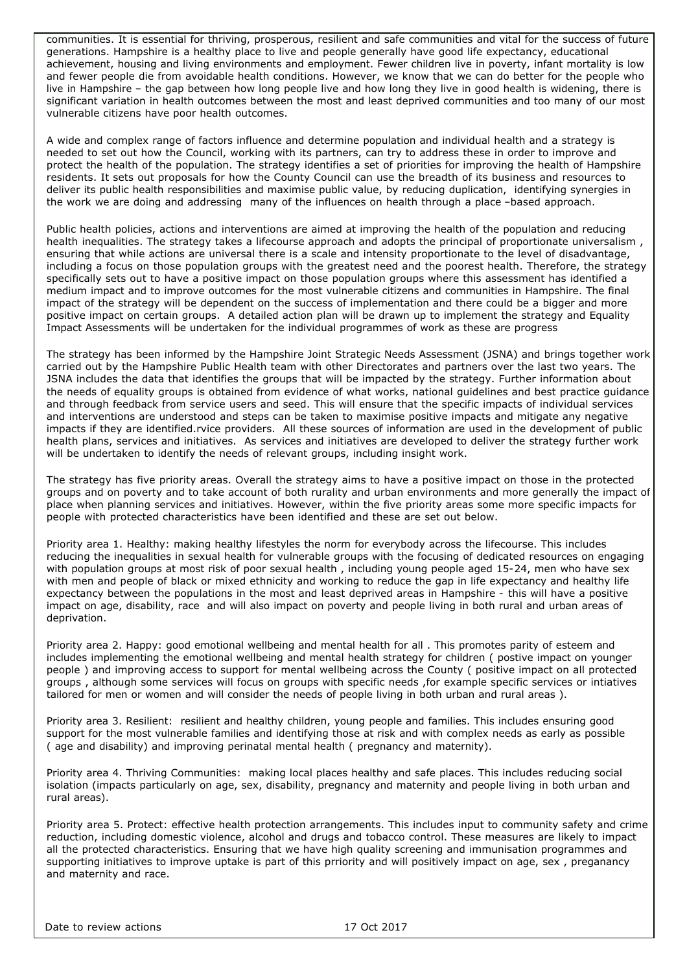communities. It is essential for thriving, prosperous, resilient and safe communities and vital for the success of future generations. Hampshire is a healthy place to live and people generally have good life expectancy, educational achievement, housing and living environments and employment. Fewer children live in poverty, infant mortality is low and fewer people die from avoidable health conditions. However, we know that we can do better for the people who live in Hampshire – the gap between how long people live and how long they live in good health is widening, there is significant variation in health outcomes between the most and least deprived communities and too many of our most vulnerable citizens have poor health outcomes.

A wide and complex range of factors influence and determine population and individual health and a strategy is needed to set out how the Council, working with its partners, can try to address these in order to improve and protect the health of the population. The strategy identifies a set of priorities for improving the health of Hampshire residents. It sets out proposals for how the County Council can use the breadth of its business and resources to deliver its public health responsibilities and maximise public value, by reducing duplication, identifying synergies in the work we are doing and addressing many of the influences on health through a place –based approach.

Public health policies, actions and interventions are aimed at improving the health of the population and reducing health inequalities. The strategy takes a lifecourse approach and adopts the principal of proportionate universalism , ensuring that while actions are universal there is a scale and intensity proportionate to the level of disadvantage, including a focus on those population groups with the greatest need and the poorest health. Therefore, the strategy specifically sets out to have a positive impact on those population groups where this assessment has identified a medium impact and to improve outcomes for the most vulnerable citizens and communities in Hampshire. The final impact of the strategy will be dependent on the success of implementation and there could be a bigger and more positive impact on certain groups. A detailed action plan will be drawn up to implement the strategy and Equality Impact Assessments will be undertaken for the individual programmes of work as these are progress

The strategy has been informed by the Hampshire Joint Strategic Needs Assessment (JSNA) and brings together work carried out by the Hampshire Public Health team with other Directorates and partners over the last two years. The JSNA includes the data that identifies the groups that will be impacted by the strategy. Further information about the needs of equality groups is obtained from evidence of what works, national guidelines and best practice guidance and through feedback from service users and seed. This will ensure that the specific impacts of individual services and interventions are understood and steps can be taken to maximise positive impacts and mitigate any negative impacts if they are identified.rvice providers. All these sources of information are used in the development of public health plans, services and initiatives. As services and initiatives are developed to deliver the strategy further work will be undertaken to identify the needs of relevant groups, including insight work.

The strategy has five priority areas. Overall the strategy aims to have a positive impact on those in the protected groups and on poverty and to take account of both rurality and urban environments and more generally the impact of place when planning services and initiatives. However, within the five priority areas some more specific impacts for people with protected characteristics have been identified and these are set out below.

Priority area 1. Healthy: making healthy lifestyles the norm for everybody across the lifecourse. This includes reducing the inequalities in sexual health for vulnerable groups with the focusing of dedicated resources on engaging with population groups at most risk of poor sexual health, including young people aged 15-24, men who have sex with men and people of black or mixed ethnicity and working to reduce the gap in life expectancy and healthy life expectancy between the populations in the most and least deprived areas in Hampshire - this will have a positive impact on age, disability, race and will also impact on poverty and people living in both rural and urban areas of deprivation.

Priority area 2. Happy: good emotional wellbeing and mental health for all . This promotes parity of esteem and includes implementing the emotional wellbeing and mental health strategy for children ( postive impact on younger people ) and improving access to support for mental wellbeing across the County ( positive impact on all protected groups , although some services will focus on groups with specific needs ,for example specific services or intiatives tailored for men or women and will consider the needs of people living in both urban and rural areas ).

Priority area 3. Resilient: resilient and healthy children, young people and families. This includes ensuring good support for the most vulnerable families and identifying those at risk and with complex needs as early as possible ( age and disability) and improving perinatal mental health ( pregnancy and maternity).

Priority area 4. Thriving Communities: making local places healthy and safe places. This includes reducing social isolation (impacts particularly on age, sex, disability, pregnancy and maternity and people living in both urban and rural areas).

Priority area 5. Protect: effective health protection arrangements. This includes input to community safety and crime reduction, including domestic violence, alcohol and drugs and tobacco control. These measures are likely to impact all the protected characteristics. Ensuring that we have high quality screening and immunisation programmes and supporting initiatives to improve uptake is part of this prriority and will positively impact on age, sex , preganancy and maternity and race.